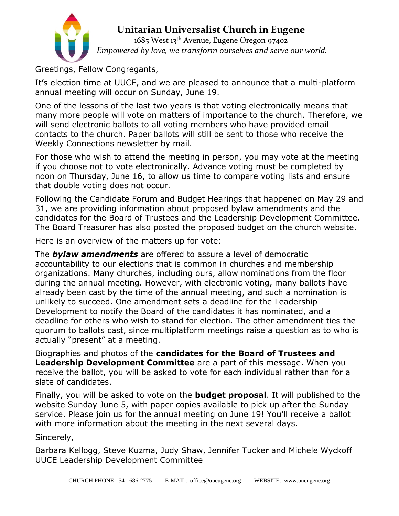

# **Unitarian Universalist Church in Eugene**

1685 West 13th Avenue, Eugene Oregon 97402 *Empowered by love, we transform ourselves and serve our world.*

Greetings, Fellow Congregants,

It's election time at UUCE, and we are pleased to announce that a multi-platform annual meeting will occur on Sunday, June 19.

One of the lessons of the last two years is that voting electronically means that many more people will vote on matters of importance to the church. Therefore, we will send electronic ballots to all voting members who have provided email contacts to the church. Paper ballots will still be sent to those who receive the Weekly Connections newsletter by mail.

For those who wish to attend the meeting in person, you may vote at the meeting if you choose not to vote electronically. Advance voting must be completed by noon on Thursday, June 16, to allow us time to compare voting lists and ensure that double voting does not occur.

Following the Candidate Forum and Budget Hearings that happened on May 29 and 31, we are providing information about proposed bylaw amendments and the candidates for the Board of Trustees and the Leadership Development Committee. The Board Treasurer has also posted the proposed budget on the church website.

Here is an overview of the matters up for vote:

The *bylaw amendments* are offered to assure a level of democratic accountability to our elections that is common in churches and membership organizations. Many churches, including ours, allow nominations from the floor during the annual meeting. However, with electronic voting, many ballots have already been cast by the time of the annual meeting, and such a nomination is unlikely to succeed. One amendment sets a deadline for the Leadership Development to notify the Board of the candidates it has nominated, and a deadline for others who wish to stand for election. The other amendment ties the quorum to ballots cast, since multiplatform meetings raise a question as to who is actually "present" at a meeting.

Biographies and photos of the **candidates for the Board of Trustees and Leadership Development Committee** are a part of this message. When you receive the ballot, you will be asked to vote for each individual rather than for a slate of candidates.

Finally, you will be asked to vote on the **budget proposal**. It will published to the website Sunday June 5, with paper copies available to pick up after the Sunday service. Please join us for the annual meeting on June 19! You'll receive a ballot with more information about the meeting in the next several days.

Sincerely,

Barbara Kellogg, Steve Kuzma, Judy Shaw, Jennifer Tucker and Michele Wyckoff UUCE Leadership Development Committee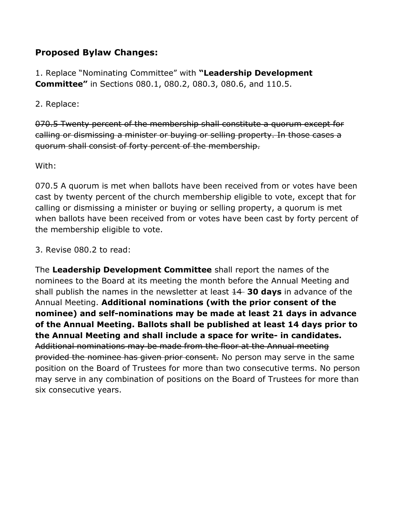## **Proposed Bylaw Changes:**

1. Replace "Nominating Committee" with **"Leadership Development Committee"** in Sections 080.1, 080.2, 080.3, 080.6, and 110.5.

2. Replace:

070.5 Twenty percent of the membership shall constitute a quorum except for calling or dismissing a minister or buying or selling property. In those cases a quorum shall consist of forty percent of the membership.

With:

070.5 A quorum is met when ballots have been received from or votes have been cast by twenty percent of the church membership eligible to vote, except that for calling or dismissing a minister or buying or selling property, a quorum is met when ballots have been received from or votes have been cast by forty percent of the membership eligible to vote.

3. Revise 080.2 to read:

The **Leadership Development Committee** shall report the names of the nominees to the Board at its meeting the month before the Annual Meeting and shall publish the names in the newsletter at least 14 **30 days** in advance of the Annual Meeting. **Additional nominations (with the prior consent of the nominee) and self-nominations may be made at least 21 days in advance of the Annual Meeting. Ballots shall be published at least 14 days prior to the Annual Meeting and shall include a space for write- in candidates.** Additional nominations may be made from the floor at the Annual meeting provided the nominee has given prior consent. No person may serve in the same position on the Board of Trustees for more than two consecutive terms. No person may serve in any combination of positions on the Board of Trustees for more than six consecutive years.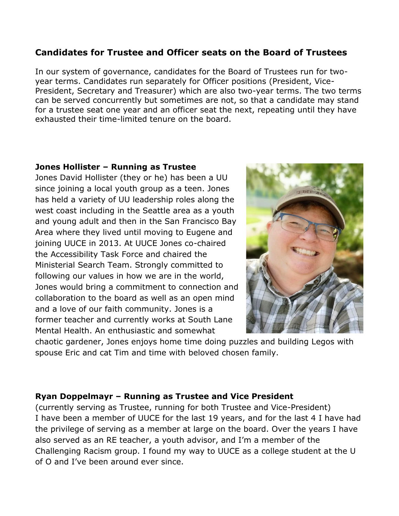### **Candidates for Trustee and Officer seats on the Board of Trustees**

In our system of governance, candidates for the Board of Trustees run for twoyear terms. Candidates run separately for Officer positions (President, Vice-President, Secretary and Treasurer) which are also two-year terms. The two terms can be served concurrently but sometimes are not, so that a candidate may stand for a trustee seat one year and an officer seat the next, repeating until they have exhausted their time-limited tenure on the board.

#### **Jones Hollister – Running as Trustee**

Jones David Hollister (they or he) has been a UU since joining a local youth group as a teen. Jones has held a variety of UU leadership roles along the west coast including in the Seattle area as a youth and young adult and then in the San Francisco Bay Area where they lived until moving to Eugene and joining UUCE in 2013. At UUCE Jones co-chaired the Accessibility Task Force and chaired the Ministerial Search Team. Strongly committed to following our values in how we are in the world, Jones would bring a commitment to connection and collaboration to the board as well as an open mind and a love of our faith community. Jones is a former teacher and currently works at South Lane Mental Health. An enthusiastic and somewhat



chaotic gardener, Jones enjoys home time doing puzzles and building Legos with spouse Eric and cat Tim and time with beloved chosen family.

#### **Ryan Doppelmayr – Running as Trustee and Vice President**

(currently serving as Trustee, running for both Trustee and Vice-President) I have been a member of UUCE for the last 19 years, and for the last 4 I have had the privilege of serving as a member at large on the board. Over the years I have also served as an RE teacher, a youth advisor, and I'm a member of the Challenging Racism group. I found my way to UUCE as a college student at the U of O and I've been around ever since.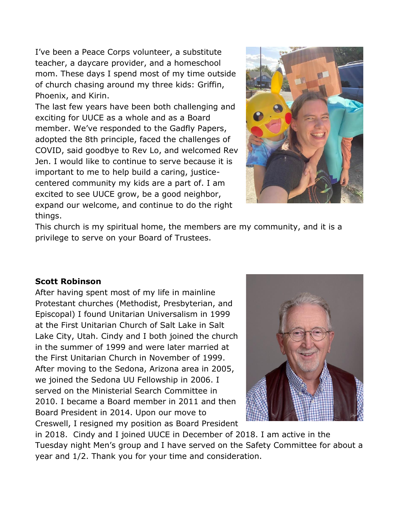I've been a Peace Corps volunteer, a substitute teacher, a daycare provider, and a homeschool mom. These days I spend most of my time outside of church chasing around my three kids: Griffin, Phoenix, and Kirin.

The last few years have been both challenging and exciting for UUCE as a whole and as a Board member. We've responded to the Gadfly Papers, adopted the 8th principle, faced the challenges of COVID, said goodbye to Rev Lo, and welcomed Rev Jen. I would like to continue to serve because it is important to me to help build a caring, justicecentered community my kids are a part of. I am excited to see UUCE grow, be a good neighbor, expand our welcome, and continue to do the right things.



This church is my spiritual home, the members are my community, and it is a privilege to serve on your Board of Trustees.

#### **Scott Robinson**

After having spent most of my life in mainline Protestant churches (Methodist, Presbyterian, and Episcopal) I found Unitarian Universalism in 1999 at the First Unitarian Church of Salt Lake in Salt Lake City, Utah. Cindy and I both joined the church in the summer of 1999 and were later married at the First Unitarian Church in November of 1999. After moving to the Sedona, Arizona area in 2005, we joined the Sedona UU Fellowship in 2006. I served on the Ministerial Search Committee in 2010. I became a Board member in 2011 and then Board President in 2014. Upon our move to Creswell, I resigned my position as Board President



in 2018. Cindy and I joined UUCE in December of 2018. I am active in the Tuesday night Men's group and I have served on the Safety Committee for about a year and 1/2. Thank you for your time and consideration.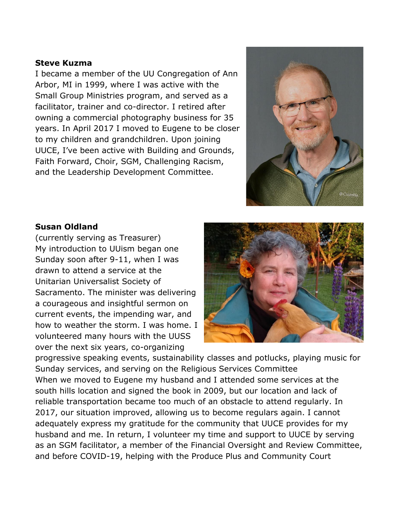#### **Steve Kuzma**

I became a member of the UU Congregation of Ann Arbor, MI in 1999, where I was active with the Small Group Ministries program, and served as a facilitator, trainer and co-director. I retired after owning a commercial photography business for 35 years. In April 2017 I moved to Eugene to be closer to my children and grandchildren. Upon joining UUCE, I've been active with Building and Grounds, Faith Forward, Choir, SGM, Challenging Racism, and the Leadership Development Committee.



#### **Susan Oldland**

(currently serving as Treasurer) My introduction to UUism began one Sunday soon after 9-11, when I was drawn to attend a service at the Unitarian Universalist Society of Sacramento. The minister was delivering a courageous and insightful sermon on current events, the impending war, and how to weather the storm. I was home. I volunteered many hours with the UUSS over the next six years, co-organizing



progressive speaking events, sustainability classes and potlucks, playing music for Sunday services, and serving on the Religious Services Committee When we moved to Eugene my husband and I attended some services at the south hills location and signed the book in 2009, but our location and lack of reliable transportation became too much of an obstacle to attend regularly. In 2017, our situation improved, allowing us to become regulars again. I cannot adequately express my gratitude for the community that UUCE provides for my husband and me. In return, I volunteer my time and support to UUCE by serving as an SGM facilitator, a member of the Financial Oversight and Review Committee, and before COVID-19, helping with the Produce Plus and Community Court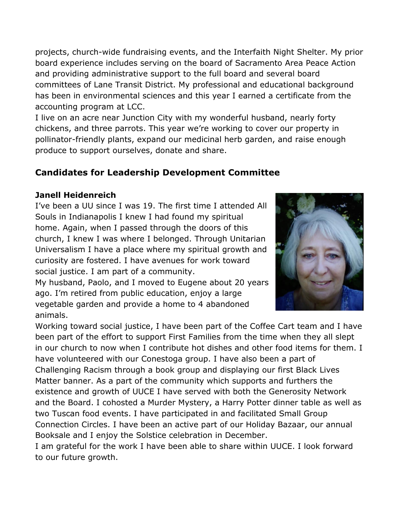projects, church-wide fundraising events, and the Interfaith Night Shelter. My prior board experience includes serving on the board of Sacramento Area Peace Action and providing administrative support to the full board and several board committees of Lane Transit District. My professional and educational background has been in environmental sciences and this year I earned a certificate from the accounting program at LCC.

I live on an acre near Junction City with my wonderful husband, nearly forty chickens, and three parrots. This year we're working to cover our property in pollinator-friendly plants, expand our medicinal herb garden, and raise enough produce to support ourselves, donate and share.

# **Candidates for Leadership Development Committee**

## **Janell Heidenreich**

I've been a UU since I was 19. The first time I attended All Souls in Indianapolis I knew I had found my spiritual home. Again, when I passed through the doors of this church, I knew I was where I belonged. Through Unitarian Universalism I have a place where my spiritual growth and curiosity are fostered. I have avenues for work toward social justice. I am part of a community.

My husband, Paolo, and I moved to Eugene about 20 years ago. I'm retired from public education, enjoy a large vegetable garden and provide a home to 4 abandoned animals.



Working toward social justice, I have been part of the Coffee Cart team and I have been part of the effort to support First Families from the time when they all slept in our church to now when I contribute hot dishes and other food items for them. I have volunteered with our Conestoga group. I have also been a part of Challenging Racism through a book group and displaying our first Black Lives Matter banner. As a part of the community which supports and furthers the existence and growth of UUCE I have served with both the Generosity Network and the Board. I cohosted a Murder Mystery, a Harry Potter dinner table as well as two Tuscan food events. I have participated in and facilitated Small Group Connection Circles. I have been an active part of our Holiday Bazaar, our annual Booksale and I enjoy the Solstice celebration in December.

I am grateful for the work I have been able to share within UUCE. I look forward to our future growth.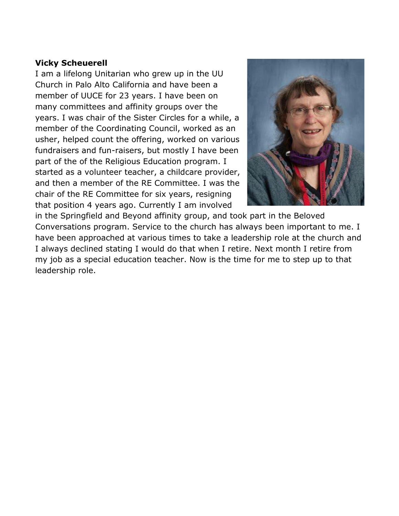#### **Vicky Scheuerell**

I am a lifelong Unitarian who grew up in the UU Church in Palo Alto California and have been a member of UUCE for 23 years. I have been on many committees and affinity groups over the years. I was chair of the Sister Circles for a while, a member of the Coordinating Council, worked as an usher, helped count the offering, worked on various fundraisers and fun-raisers, but mostly I have been part of the of the Religious Education program. I started as a volunteer teacher, a childcare provider, and then a member of the RE Committee. I was the chair of the RE Committee for six years, resigning that position 4 years ago. Currently I am involved



in the Springfield and Beyond affinity group, and took part in the Beloved Conversations program. Service to the church has always been important to me. I have been approached at various times to take a leadership role at the church and I always declined stating I would do that when I retire. Next month I retire from my job as a special education teacher. Now is the time for me to step up to that leadership role.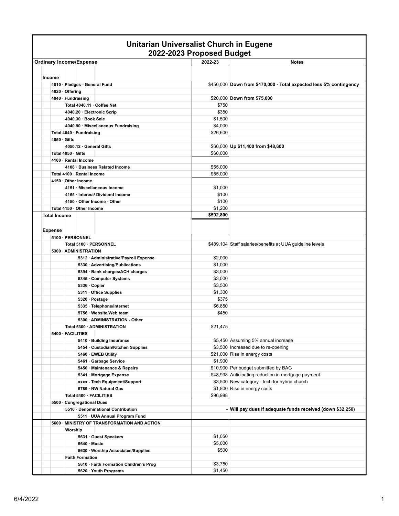|                                     |                    |                                                   |                                                                 | 2022-2023 Proposed Budget   |                                                                    |
|-------------------------------------|--------------------|---------------------------------------------------|-----------------------------------------------------------------|-----------------------------|--------------------------------------------------------------------|
| <b>Ordinary Income/Expense</b>      |                    |                                                   |                                                                 | 2022-23                     | <b>Notes</b>                                                       |
| Income                              |                    |                                                   |                                                                 |                             |                                                                    |
|                                     |                    |                                                   | 4010 · Pledges - General Fund                                   |                             | \$450,000 Down from \$470,000 - Total expected less 5% contingency |
|                                     | 4020 · Offering    |                                                   |                                                                 |                             |                                                                    |
|                                     | 4040 · Fundraising |                                                   |                                                                 | \$20,000 Down from \$75,000 |                                                                    |
| Total 4040.11 Coffee Net            |                    | \$750                                             |                                                                 |                             |                                                                    |
| 4040.20 · Electronic Scrip          |                    |                                                   |                                                                 | \$350                       |                                                                    |
| 4040.30 · Book Sale                 |                    |                                                   |                                                                 | \$1,500                     |                                                                    |
| 4040.90 · Miscellaneous Fundraising |                    |                                                   |                                                                 | \$4,000                     |                                                                    |
|                                     |                    | Total 4040 · Fundraising                          |                                                                 | \$26,600                    |                                                                    |
| $4050 \cdot$ Gifts                  |                    |                                                   |                                                                 |                             |                                                                    |
|                                     |                    |                                                   | 4050.12 General Gifts                                           |                             | \$60,000 Up \$11,400 from \$48,600                                 |
|                                     | Total 4050 Gifts   |                                                   |                                                                 | \$60,000                    |                                                                    |
|                                     |                    | 4100 · Rental Income                              |                                                                 |                             |                                                                    |
|                                     |                    |                                                   | 4108 · Business Related Income                                  | \$55,000                    |                                                                    |
|                                     |                    | Total 4100 · Rental Income<br>4150 · Other Income |                                                                 | \$55,000                    |                                                                    |
|                                     |                    |                                                   | 4151 · Miscellaneous income                                     |                             |                                                                    |
|                                     |                    |                                                   | 4155 · Interest/ Dividend Income                                | \$1,000<br>\$100            |                                                                    |
|                                     |                    |                                                   | 4150 · Other Income - Other                                     | \$100                       |                                                                    |
|                                     |                    | Total 4150 · Other Income                         |                                                                 | \$1,200                     |                                                                    |
| <b>Total Income</b>                 |                    |                                                   |                                                                 | \$592,800                   |                                                                    |
|                                     |                    |                                                   |                                                                 |                             |                                                                    |
| <b>Expense</b>                      |                    |                                                   |                                                                 |                             |                                                                    |
|                                     |                    | 5100 · PERSONNEL                                  |                                                                 |                             |                                                                    |
|                                     |                    |                                                   | Total 5100 · PERSONNEL                                          |                             | \$489,104 Staff salaries/benefits at UUA guideline levels          |
|                                     |                    | 5300 ADMINISTRATION                               |                                                                 |                             |                                                                    |
|                                     |                    |                                                   | 5312 · Administrative/Payroll Expense                           | \$2,000                     |                                                                    |
|                                     |                    |                                                   | 5330 · Advertising/Publications                                 | \$1,000                     |                                                                    |
|                                     |                    |                                                   | 5394 · Bank charges/ACH charges                                 | \$3,000                     |                                                                    |
|                                     |                    |                                                   | 5345 · Computer Systems                                         | \$3,000                     |                                                                    |
|                                     |                    | 5336 · Copier                                     |                                                                 | \$3,500<br>\$1,300          |                                                                    |
|                                     |                    |                                                   | 5311 Office Supplies<br>5320 · Postage                          | \$375                       |                                                                    |
|                                     |                    |                                                   | 5335 · Telephone/Internet                                       | \$6,850                     |                                                                    |
|                                     |                    |                                                   | 5756 · Website/Web team                                         | \$450                       |                                                                    |
|                                     |                    |                                                   | 5300 - ADMINISTRATION - Other                                   |                             |                                                                    |
|                                     |                    |                                                   | Total 5300 · ADMINISTRATION                                     | \$21.475                    |                                                                    |
|                                     | 5400 · FACILITIES  |                                                   |                                                                 |                             |                                                                    |
|                                     |                    |                                                   | 5410 · Building Insurance                                       |                             | \$5,450 Assuming 5% annual increase                                |
|                                     |                    |                                                   | 5454 · Custodian/Kitchen Supplies                               |                             | \$3,500 Increased due to re-opening                                |
|                                     |                    |                                                   | 5460 · EWEB Utility                                             |                             | \$21,000 Rise in energy costs                                      |
|                                     |                    |                                                   | 5461 · Garbage Service                                          | \$1,900                     |                                                                    |
|                                     |                    |                                                   | 5450 · Maintenance & Repairs                                    |                             | \$10,900 Per budget submitted by BAG                               |
|                                     |                    |                                                   | 5341 · Mortgage Expense                                         |                             | \$48,938 Anticipating reduction in mortgage payment                |
|                                     |                    |                                                   | xxxx - Tech Equipment/Support                                   |                             | \$3,500 New category - tech for hybrid church                      |
|                                     |                    |                                                   | 5789 · NW Natural Gas                                           |                             | \$1,800 Rise in energy costs                                       |
|                                     |                    |                                                   | Total 5400 · FACILITIES                                         | \$96,988                    |                                                                    |
|                                     |                    | 5500 · Congregational Dues                        |                                                                 |                             |                                                                    |
|                                     |                    |                                                   | 5510 · Denominational Contribution                              |                             | Will pay dues if adequate funds received (down \$32,250)           |
|                                     |                    |                                                   | 5511 · UUA Annual Program Fund                                  |                             |                                                                    |
|                                     |                    |                                                   | 5600 · MINISTRY OF TRANSFORMATION AND ACTION                    |                             |                                                                    |
|                                     | Worship            |                                                   |                                                                 |                             |                                                                    |
|                                     |                    |                                                   | 5631 Guest Speakers                                             | \$1,050                     |                                                                    |
|                                     |                    | 5640 Music                                        |                                                                 | \$5,000                     |                                                                    |
|                                     |                    |                                                   | 5630 · Worship Associates/Supplies                              | \$500                       |                                                                    |
|                                     |                    | <b>Faith Formation</b>                            |                                                                 |                             |                                                                    |
|                                     |                    |                                                   | 5610 · Faith Formation Children's Prog<br>5620 · Youth Programs | \$3,750<br>\$1,450          |                                                                    |
|                                     |                    |                                                   |                                                                 |                             |                                                                    |

# **Unitarian Universalist Church in Eugene**